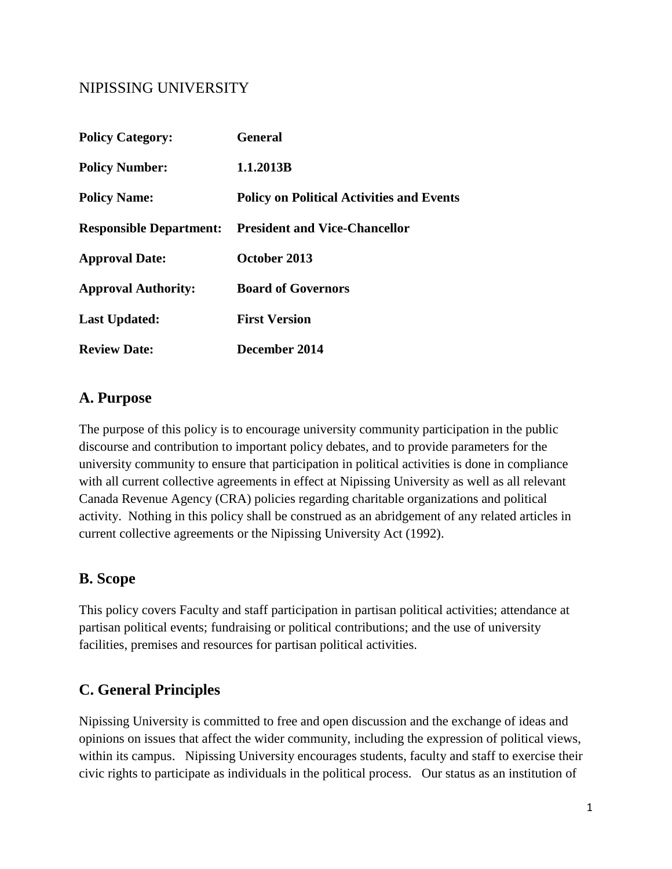## NIPISSING UNIVERSITY

| <b>Policy Category:</b>        | <b>General</b>                                   |
|--------------------------------|--------------------------------------------------|
| <b>Policy Number:</b>          | 1.1.2013B                                        |
| <b>Policy Name:</b>            | <b>Policy on Political Activities and Events</b> |
| <b>Responsible Department:</b> | <b>President and Vice-Chancellor</b>             |
| <b>Approval Date:</b>          | October 2013                                     |
| <b>Approval Authority:</b>     | <b>Board of Governors</b>                        |
| <b>Last Updated:</b>           | <b>First Version</b>                             |
| <b>Review Date:</b>            | December 2014                                    |

### **A. Purpose**

The purpose of this policy is to encourage university community participation in the public discourse and contribution to important policy debates, and to provide parameters for the university community to ensure that participation in political activities is done in compliance with all current collective agreements in effect at Nipissing University as well as all relevant Canada Revenue Agency (CRA) policies regarding charitable organizations and political activity. Nothing in this policy shall be construed as an abridgement of any related articles in current collective agreements or the Nipissing University Act (1992).

## **B. Scope**

This policy covers Faculty and staff participation in partisan political activities; attendance at partisan political events; fundraising or political contributions; and the use of university facilities, premises and resources for partisan political activities.

## **C. General Principles**

Nipissing University is committed to free and open discussion and the exchange of ideas and opinions on issues that affect the wider community, including the expression of political views, within its campus. Nipissing University encourages students, faculty and staff to exercise their civic rights to participate as individuals in the political process. Our status as an institution of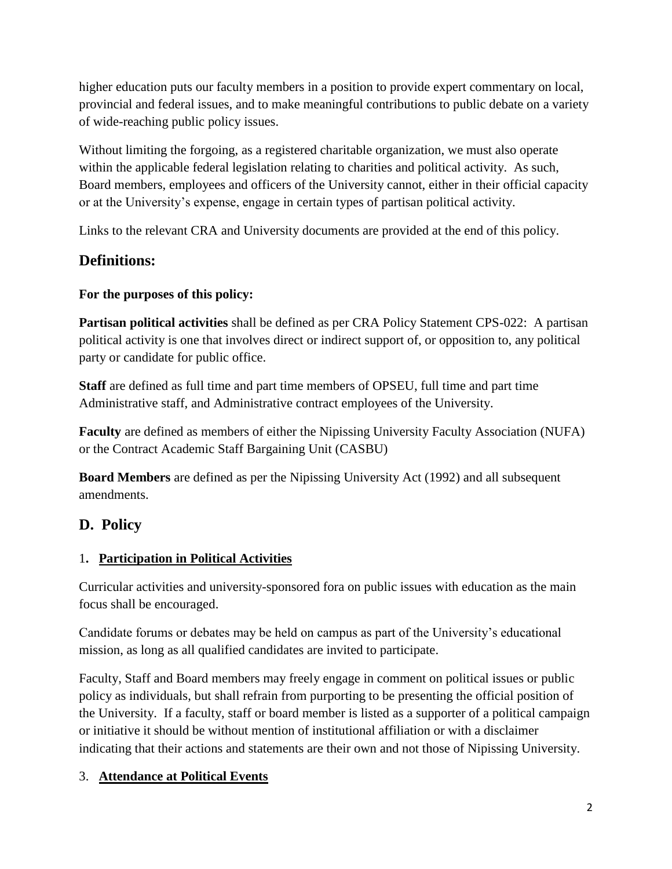higher education puts our faculty members in a position to provide expert commentary on local, provincial and federal issues, and to make meaningful contributions to public debate on a variety of wide-reaching public policy issues.

Without limiting the forgoing, as a registered charitable organization, we must also operate within the applicable federal legislation relating to charities and political activity. As such, Board members, employees and officers of the University cannot, either in their official capacity or at the University's expense, engage in certain types of partisan political activity.

Links to the relevant CRA and University documents are provided at the end of this policy.

# **Definitions:**

## **For the purposes of this policy:**

**Partisan political activities** shall be defined as per CRA Policy Statement CPS-022: A partisan political activity is one that involves direct or indirect support of, or opposition to, any political party or candidate for public office.

**Staff** are defined as full time and part time members of OPSEU, full time and part time Administrative staff, and Administrative contract employees of the University.

**Faculty** are defined as members of either the Nipissing University Faculty Association (NUFA) or the Contract Academic Staff Bargaining Unit (CASBU)

**Board Members** are defined as per the Nipissing University Act (1992) and all subsequent amendments.

## **D. Policy**

## 1**. Participation in Political Activities**

Curricular activities and university-sponsored fora on public issues with education as the main focus shall be encouraged.

Candidate forums or debates may be held on campus as part of the University's educational mission, as long as all qualified candidates are invited to participate.

Faculty, Staff and Board members may freely engage in comment on political issues or public policy as individuals, but shall refrain from purporting to be presenting the official position of the University. If a faculty, staff or board member is listed as a supporter of a political campaign or initiative it should be without mention of institutional affiliation or with a disclaimer indicating that their actions and statements are their own and not those of Nipissing University.

## 3. **Attendance at Political Events**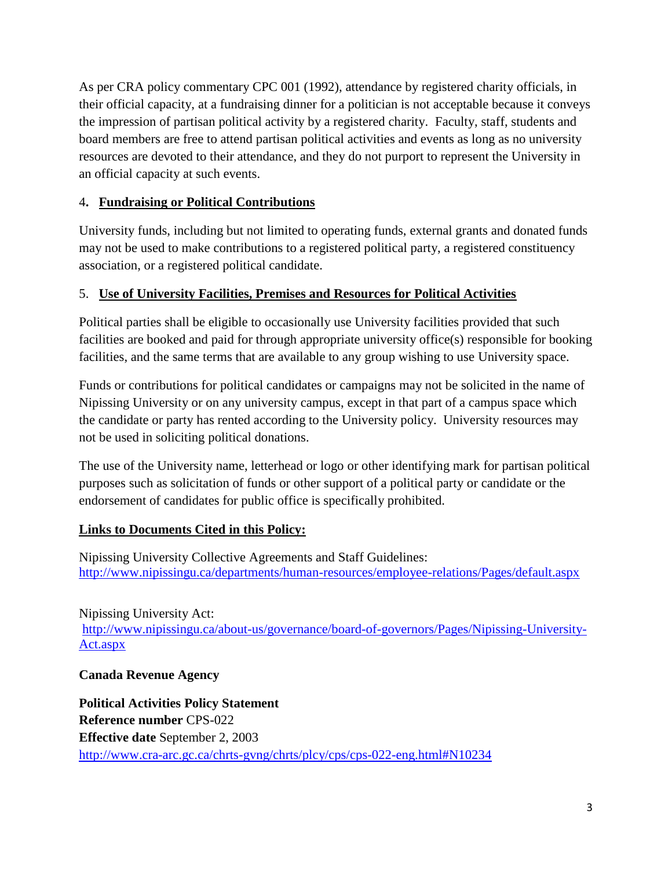As per CRA policy commentary CPC 001 (1992), attendance by registered charity officials, in their official capacity, at a fundraising dinner for a politician is not acceptable because it conveys the impression of partisan political activity by a registered charity. Faculty, staff, students and board members are free to attend partisan political activities and events as long as no university resources are devoted to their attendance, and they do not purport to represent the University in an official capacity at such events.

#### 4**. Fundraising or Political Contributions**

University funds, including but not limited to operating funds, external grants and donated funds may not be used to make contributions to a registered political party, a registered constituency association, or a registered political candidate.

### 5. **Use of University Facilities, Premises and Resources for Political Activities**

Political parties shall be eligible to occasionally use University facilities provided that such facilities are booked and paid for through appropriate university office(s) responsible for booking facilities, and the same terms that are available to any group wishing to use University space.

Funds or contributions for political candidates or campaigns may not be solicited in the name of Nipissing University or on any university campus, except in that part of a campus space which the candidate or party has rented according to the University policy. University resources may not be used in soliciting political donations.

The use of the University name, letterhead or logo or other identifying mark for partisan political purposes such as solicitation of funds or other support of a political party or candidate or the endorsement of candidates for public office is specifically prohibited.

#### **Links to Documents Cited in this Policy:**

Nipissing University Collective Agreements and Staff Guidelines: <http://www.nipissingu.ca/departments/human-resources/employee-relations/Pages/default.aspx>

Nipissing University Act: [http://www.nipissingu.ca/about-us/governance/board-of-governors/Pages/Nipissing-University-](http://www.nipissingu.ca/about-us/governance/board-of-governors/Pages/Nipissing-University-Act.aspx)[Act.aspx](http://www.nipissingu.ca/about-us/governance/board-of-governors/Pages/Nipissing-University-Act.aspx)

#### **Canada Revenue Agency**

**Political Activities Policy Statement Reference number** CPS-022 **Effective date** September 2, 2003 <http://www.cra-arc.gc.ca/chrts-gvng/chrts/plcy/cps/cps-022-eng.html#N10234>